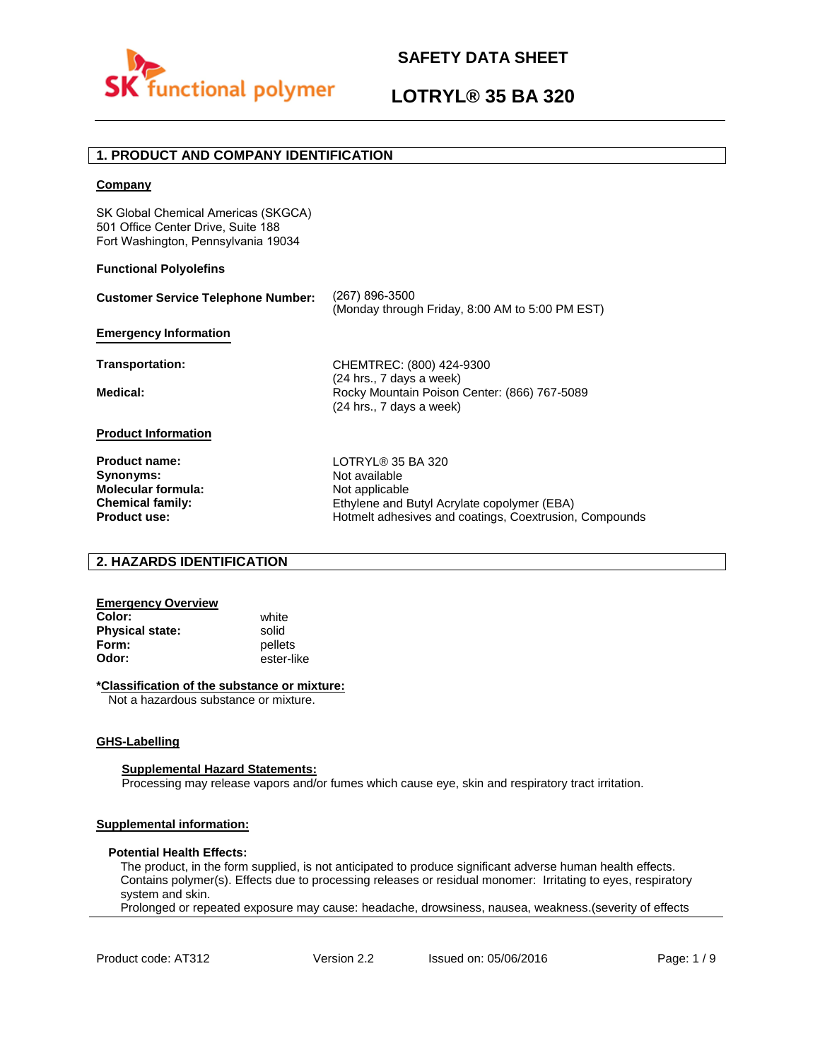

# **LOTRYL® 35 BA 320**

### **1. PRODUCT AND COMPANY IDENTIFICATION**

### **Company**

SK Global Chemical Americas (SKGCA) 501 Office Center Drive, Suite 188 Fort Washington, Pennsylvania 19034

### **Functional Polyolefins**

| <b>Customer Service Telephone Number:</b>                                                                 | (267) 896-3500<br>(Monday through Friday, 8:00 AM to 5:00 PM EST)                                                                                             |
|-----------------------------------------------------------------------------------------------------------|---------------------------------------------------------------------------------------------------------------------------------------------------------------|
| <b>Emergency Information</b>                                                                              |                                                                                                                                                               |
| Transportation:                                                                                           | CHEMTREC: (800) 424-9300<br>(24 hrs., 7 days a week)                                                                                                          |
| Medical:                                                                                                  | Rocky Mountain Poison Center: (866) 767-5089<br>(24 hrs., 7 days a week)                                                                                      |
| <b>Product Information</b>                                                                                |                                                                                                                                                               |
| <b>Product name:</b><br>Synonyms:<br>Molecular formula:<br><b>Chemical family:</b><br><b>Product use:</b> | LOTRYL® 35 BA 320<br>Not available<br>Not applicable<br>Ethylene and Butyl Acrylate copolymer (EBA)<br>Hotmelt adhesives and coatings, Coextrusion, Compounds |

### **2. HAZARDS IDENTIFICATION**

### **Emergency Overview**

**Color:** white **Physical state:** solid<br> **Form:** nellet **Form:** pellets<br> **Odor:** ester-li

**Odor:** ester-like

### **\*Classification of the substance or mixture:**

Not a hazardous substance or mixture.

### **GHS-Labelling**

### **Supplemental Hazard Statements:**

Processing may release vapors and/or fumes which cause eye, skin and respiratory tract irritation.

### **Supplemental information:**

### **Potential Health Effects:**

The product, in the form supplied, is not anticipated to produce significant adverse human health effects. Contains polymer(s). Effects due to processing releases or residual monomer: Irritating to eyes, respiratory system and skin.

Prolonged or repeated exposure may cause: headache, drowsiness, nausea, weakness.(severity of effects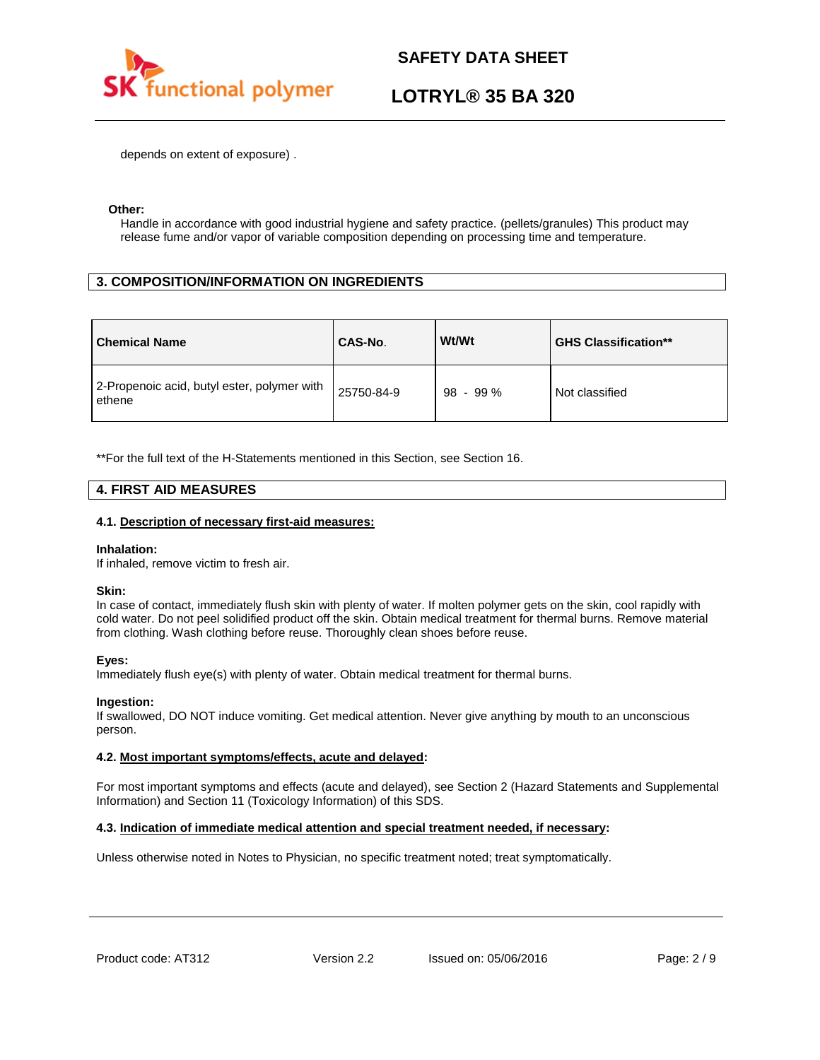

# **LOTRYL® 35 BA 320**

depends on extent of exposure) .

### **Other:**

Handle in accordance with good industrial hygiene and safety practice. (pellets/granules) This product may release fume and/or vapor of variable composition depending on processing time and temperature.

### **3. COMPOSITION/INFORMATION ON INGREDIENTS**

| <b>Chemical Name</b>                                  | CAS-No.    | Wt/Wt      | <b>GHS Classification**</b> |
|-------------------------------------------------------|------------|------------|-----------------------------|
| 2-Propenoic acid, butyl ester, polymer with<br>ethene | 25750-84-9 | $98 - 99%$ | Not classified              |

\*\*For the full text of the H-Statements mentioned in this Section, see Section 16.

### **4. FIRST AID MEASURES**

### **4.1. Description of necessary first-aid measures:**

### **Inhalation:**

If inhaled, remove victim to fresh air.

### **Skin:**

In case of contact, immediately flush skin with plenty of water. If molten polymer gets on the skin, cool rapidly with cold water. Do not peel solidified product off the skin. Obtain medical treatment for thermal burns. Remove material from clothing. Wash clothing before reuse. Thoroughly clean shoes before reuse.

### **Eyes:**

Immediately flush eye(s) with plenty of water. Obtain medical treatment for thermal burns.

### **Ingestion:**

If swallowed, DO NOT induce vomiting. Get medical attention. Never give anything by mouth to an unconscious person.

### **4.2. Most important symptoms/effects, acute and delayed:**

For most important symptoms and effects (acute and delayed), see Section 2 (Hazard Statements and Supplemental Information) and Section 11 (Toxicology Information) of this SDS.

### **4.3. Indication of immediate medical attention and special treatment needed, if necessary:**

Unless otherwise noted in Notes to Physician, no specific treatment noted; treat symptomatically.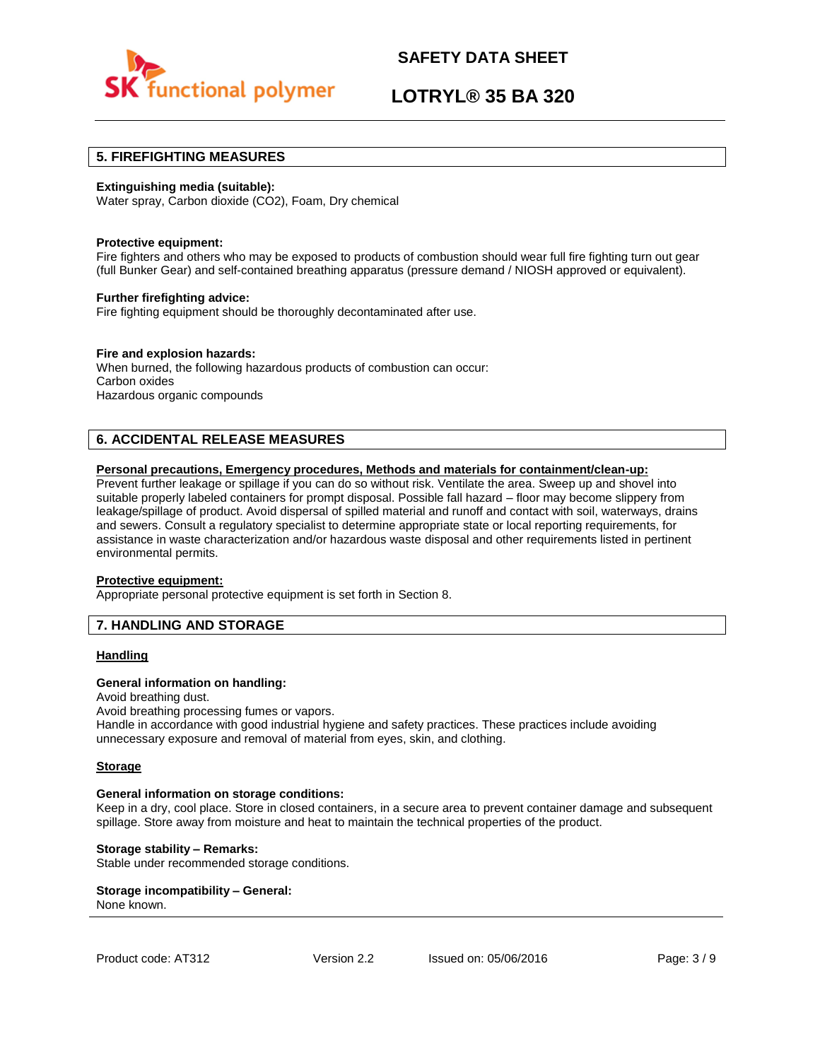

# **LOTRYL® 35 BA 320**

### **5. FIREFIGHTING MEASURES**

### **Extinguishing media (suitable):**

Water spray, Carbon dioxide (CO2), Foam, Dry chemical

### **Protective equipment:**

Fire fighters and others who may be exposed to products of combustion should wear full fire fighting turn out gear (full Bunker Gear) and self-contained breathing apparatus (pressure demand / NIOSH approved or equivalent).

### **Further firefighting advice:**

Fire fighting equipment should be thoroughly decontaminated after use.

### **Fire and explosion hazards:**

When burned, the following hazardous products of combustion can occur: Carbon oxides Hazardous organic compounds

### **6. ACCIDENTAL RELEASE MEASURES**

### **Personal precautions, Emergency procedures, Methods and materials for containment/clean-up:**

Prevent further leakage or spillage if you can do so without risk. Ventilate the area. Sweep up and shovel into suitable properly labeled containers for prompt disposal. Possible fall hazard – floor may become slippery from leakage/spillage of product. Avoid dispersal of spilled material and runoff and contact with soil, waterways, drains and sewers. Consult a regulatory specialist to determine appropriate state or local reporting requirements, for assistance in waste characterization and/or hazardous waste disposal and other requirements listed in pertinent environmental permits.

### **Protective equipment:**

Appropriate personal protective equipment is set forth in Section 8.

### **7. HANDLING AND STORAGE**

### **Handling**

### **General information on handling:**

Avoid breathing dust.

Avoid breathing processing fumes or vapors.

Handle in accordance with good industrial hygiene and safety practices. These practices include avoiding unnecessary exposure and removal of material from eyes, skin, and clothing.

### **Storage**

### **General information on storage conditions:**

Keep in a dry, cool place. Store in closed containers, in a secure area to prevent container damage and subsequent spillage. Store away from moisture and heat to maintain the technical properties of the product.

### **Storage stability – Remarks:**

Stable under recommended storage conditions.

#### **Storage incompatibility – General:**  None known.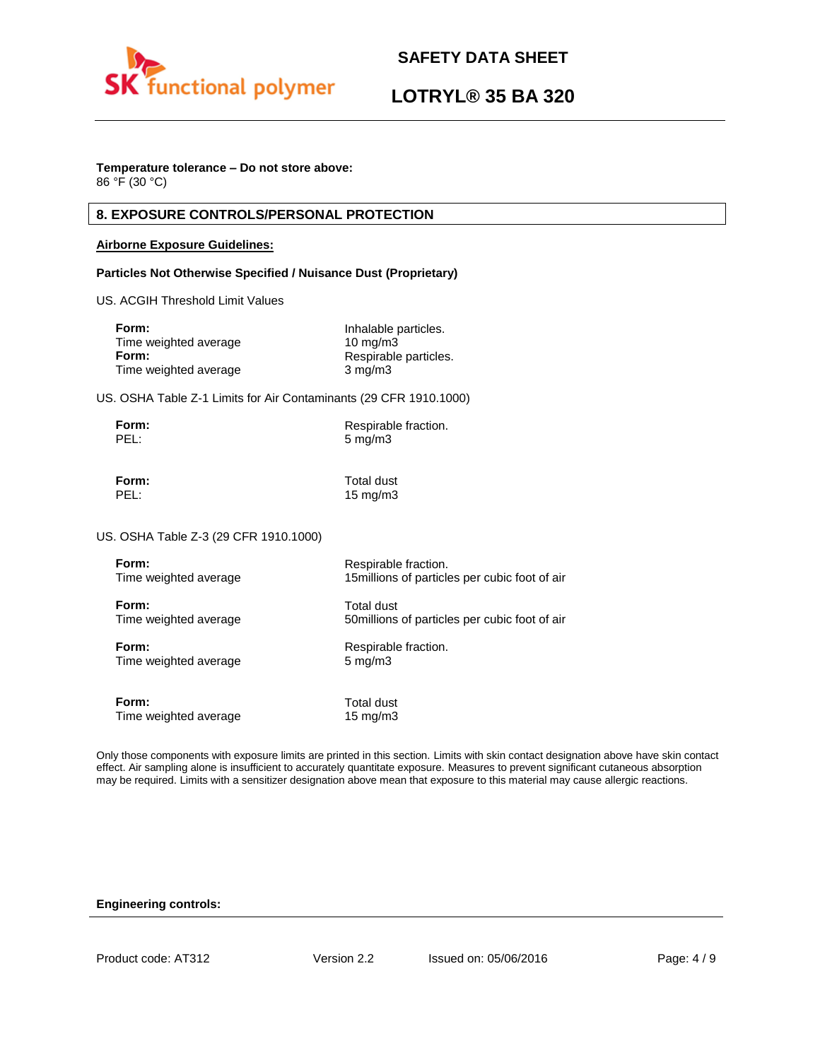

# **LOTRYL® 35 BA 320**

### **Temperature tolerance – Do not store above:**

86 °F (30 °C)

### **8. EXPOSURE CONTROLS/PERSONAL PROTECTION**

### **Airborne Exposure Guidelines:**

### **Particles Not Otherwise Specified / Nuisance Dust (Proprietary)**

US. ACGIH Threshold Limit Values

| Form:                 | Inhalable particles.  |
|-----------------------|-----------------------|
| Time weighted average | $10 \text{ ma/m}$ 3   |
| Form:                 | Respirable particles. |
| Time weighted average | $3 \text{ mg/m}$      |

US. OSHA Table Z-1 Limits for Air Contaminants (29 CFR 1910.1000)

| Form: | Respirable fraction. |
|-------|----------------------|
| PEL:  | $5 \text{ mg/m}$     |

**Form:** Total dust PEL: 15 mg/m3

US. OSHA Table Z-3 (29 CFR 1910.1000)

| Form:                 | Respirable fraction.                           |
|-----------------------|------------------------------------------------|
| Time weighted average | 15 millions of particles per cubic foot of air |
| Form:                 | <b>Total dust</b>                              |
| Time weighted average | 50 millions of particles per cubic foot of air |
| Form:                 | Respirable fraction.                           |
| Time weighted average | $5 \text{ mg/m}$                               |
| Form:                 | Total dust                                     |
| Time weighted average | $15 \text{ mg/m}$                              |

Only those components with exposure limits are printed in this section. Limits with skin contact designation above have skin contact effect. Air sampling alone is insufficient to accurately quantitate exposure. Measures to prevent significant cutaneous absorption may be required. Limits with a sensitizer designation above mean that exposure to this material may cause allergic reactions.

### **Engineering controls:**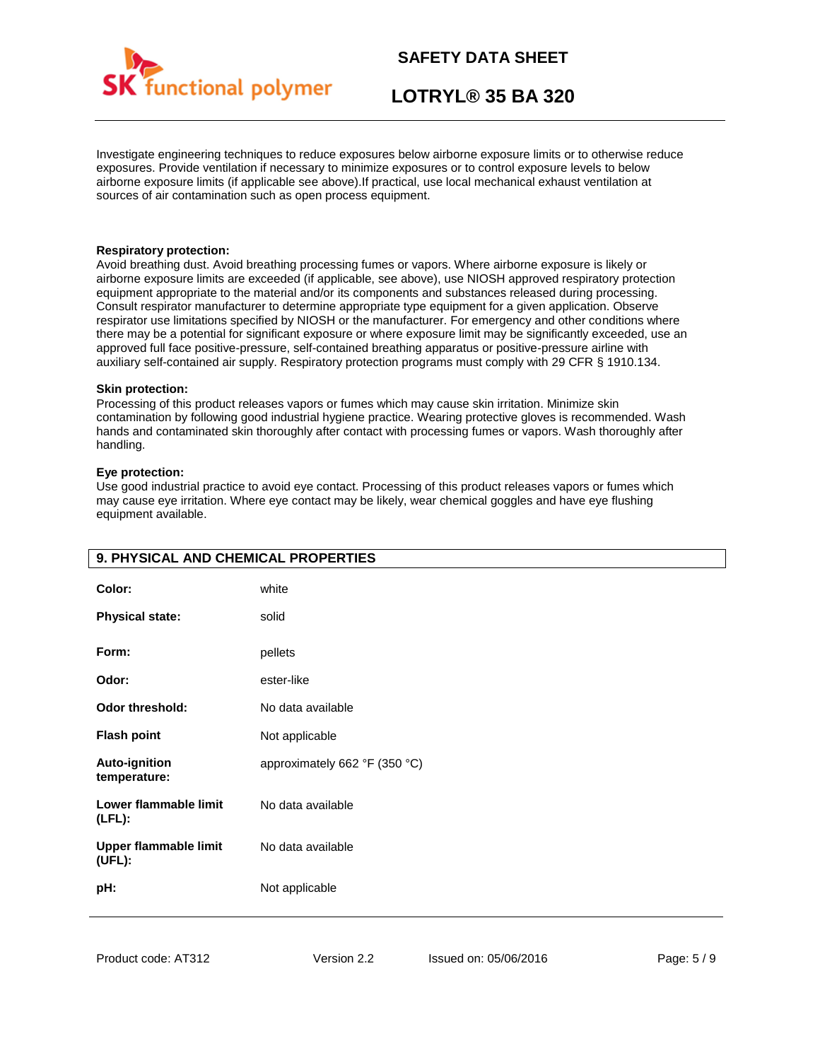

# **LOTRYL® 35 BA 320**

Investigate engineering techniques to reduce exposures below airborne exposure limits or to otherwise reduce exposures. Provide ventilation if necessary to minimize exposures or to control exposure levels to below airborne exposure limits (if applicable see above).If practical, use local mechanical exhaust ventilation at sources of air contamination such as open process equipment.

### **Respiratory protection:**

Avoid breathing dust. Avoid breathing processing fumes or vapors. Where airborne exposure is likely or airborne exposure limits are exceeded (if applicable, see above), use NIOSH approved respiratory protection equipment appropriate to the material and/or its components and substances released during processing. Consult respirator manufacturer to determine appropriate type equipment for a given application. Observe respirator use limitations specified by NIOSH or the manufacturer. For emergency and other conditions where there may be a potential for significant exposure or where exposure limit may be significantly exceeded, use an approved full face positive-pressure, self-contained breathing apparatus or positive-pressure airline with auxiliary self-contained air supply. Respiratory protection programs must comply with 29 CFR § 1910.134.

### **Skin protection:**

Processing of this product releases vapors or fumes which may cause skin irritation. Minimize skin contamination by following good industrial hygiene practice. Wearing protective gloves is recommended. Wash hands and contaminated skin thoroughly after contact with processing fumes or vapors. Wash thoroughly after handling.

### **Eye protection:**

Use good industrial practice to avoid eye contact. Processing of this product releases vapors or fumes which may cause eye irritation. Where eye contact may be likely, wear chemical goggles and have eye flushing equipment available.

| 9. PHYSICAL AND CHEMICAL PROPERTIES    |                               |  |
|----------------------------------------|-------------------------------|--|
| Color:                                 | white                         |  |
| <b>Physical state:</b>                 | solid                         |  |
| Form:                                  | pellets                       |  |
| Odor:                                  | ester-like                    |  |
| Odor threshold:                        | No data available             |  |
| <b>Flash point</b>                     | Not applicable                |  |
| <b>Auto-ignition</b><br>temperature:   | approximately 662 °F (350 °C) |  |
| Lower flammable limit<br>$(LFL)$ :     | No data available             |  |
| <b>Upper flammable limit</b><br>(UEL): | No data available             |  |
| pH:                                    | Not applicable                |  |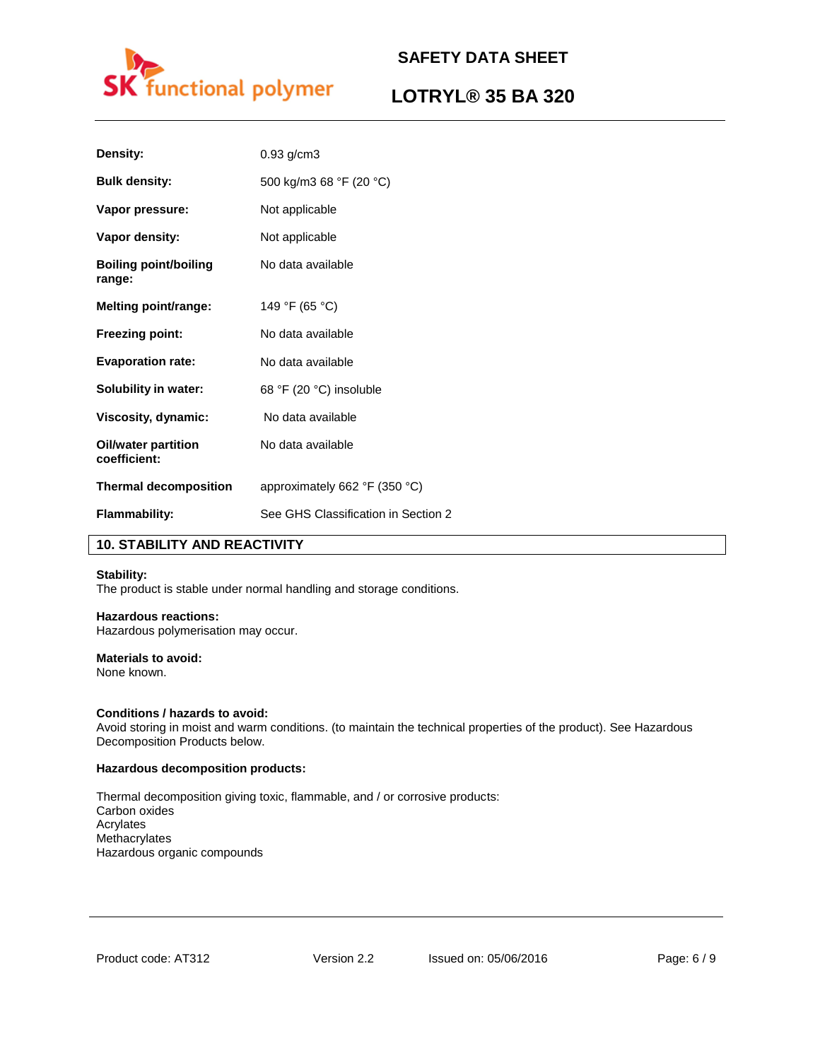

# **LOTRYL® 35 BA 320**

| Density:                                   | $0.93$ g/cm $3$                                 |
|--------------------------------------------|-------------------------------------------------|
| <b>Bulk density:</b>                       | 500 kg/m3 68 °F (20 °C)                         |
| Vapor pressure:                            | Not applicable                                  |
| Vapor density:                             | Not applicable                                  |
| <b>Boiling point/boiling</b><br>range:     | No data available                               |
| <b>Melting point/range:</b>                | 149 °F (65 °C)                                  |
| <b>Freezing point:</b>                     | No data available                               |
| <b>Evaporation rate:</b>                   | No data available                               |
| <b>Solubility in water:</b>                | 68 °F (20 °C) insoluble                         |
| Viscosity, dynamic:                        | No data available                               |
| <b>Oil/water partition</b><br>coefficient: | No data available                               |
| <b>Thermal decomposition</b>               | approximately 662 $\degree$ F (350 $\degree$ C) |
| <b>Flammability:</b>                       | See GHS Classification in Section 2             |

### **10. STABILITY AND REACTIVITY**

### **Stability:**

The product is stable under normal handling and storage conditions.

### **Hazardous reactions:**

Hazardous polymerisation may occur.

### **Materials to avoid:**

None known.

### **Conditions / hazards to avoid:**

Avoid storing in moist and warm conditions. (to maintain the technical properties of the product). See Hazardous Decomposition Products below.

### **Hazardous decomposition products:**

Thermal decomposition giving toxic, flammable, and / or corrosive products: Carbon oxides Acrylates Methacrylates Hazardous organic compounds

Product code: AT312 Version 2.2 Issued on: 05/06/2016 Page: 6 / 9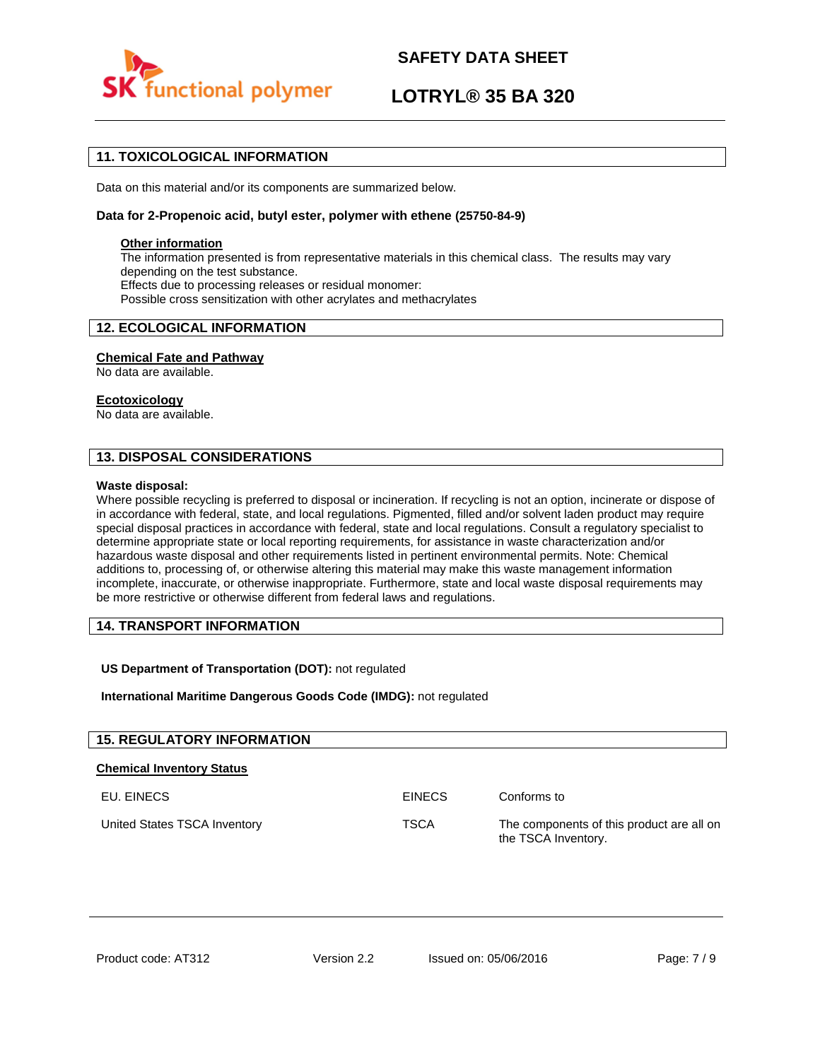

# **LOTRYL® 35 BA 320**

### **11. TOXICOLOGICAL INFORMATION**

Data on this material and/or its components are summarized below.

### **Data for 2-Propenoic acid, butyl ester, polymer with ethene (25750-84-9)**

### **Other information**

The information presented is from representative materials in this chemical class. The results may vary depending on the test substance. Effects due to processing releases or residual monomer: Possible cross sensitization with other acrylates and methacrylates

### **12. ECOLOGICAL INFORMATION**

### **Chemical Fate and Pathway**

No data are available.

### **Ecotoxicology**

No data are available.

### **13. DISPOSAL CONSIDERATIONS**

### **Waste disposal:**

Where possible recycling is preferred to disposal or incineration. If recycling is not an option, incinerate or dispose of in accordance with federal, state, and local regulations. Pigmented, filled and/or solvent laden product may require special disposal practices in accordance with federal, state and local regulations. Consult a regulatory specialist to determine appropriate state or local reporting requirements, for assistance in waste characterization and/or hazardous waste disposal and other requirements listed in pertinent environmental permits. Note: Chemical additions to, processing of, or otherwise altering this material may make this waste management information incomplete, inaccurate, or otherwise inappropriate. Furthermore, state and local waste disposal requirements may be more restrictive or otherwise different from federal laws and regulations.

### **14. TRANSPORT INFORMATION**

### **US Department of Transportation (DOT):** not regulated

**International Maritime Dangerous Goods Code (IMDG):** not regulated

| <b>15. REGULATORY INFORMATION</b> |               |                                                                  |
|-----------------------------------|---------------|------------------------------------------------------------------|
| <b>Chemical Inventory Status</b>  |               |                                                                  |
| EU. EINECS                        | <b>EINECS</b> | Conforms to                                                      |
| United States TSCA Inventory      | <b>TSCA</b>   | The components of this product are all on<br>the TSCA Inventory. |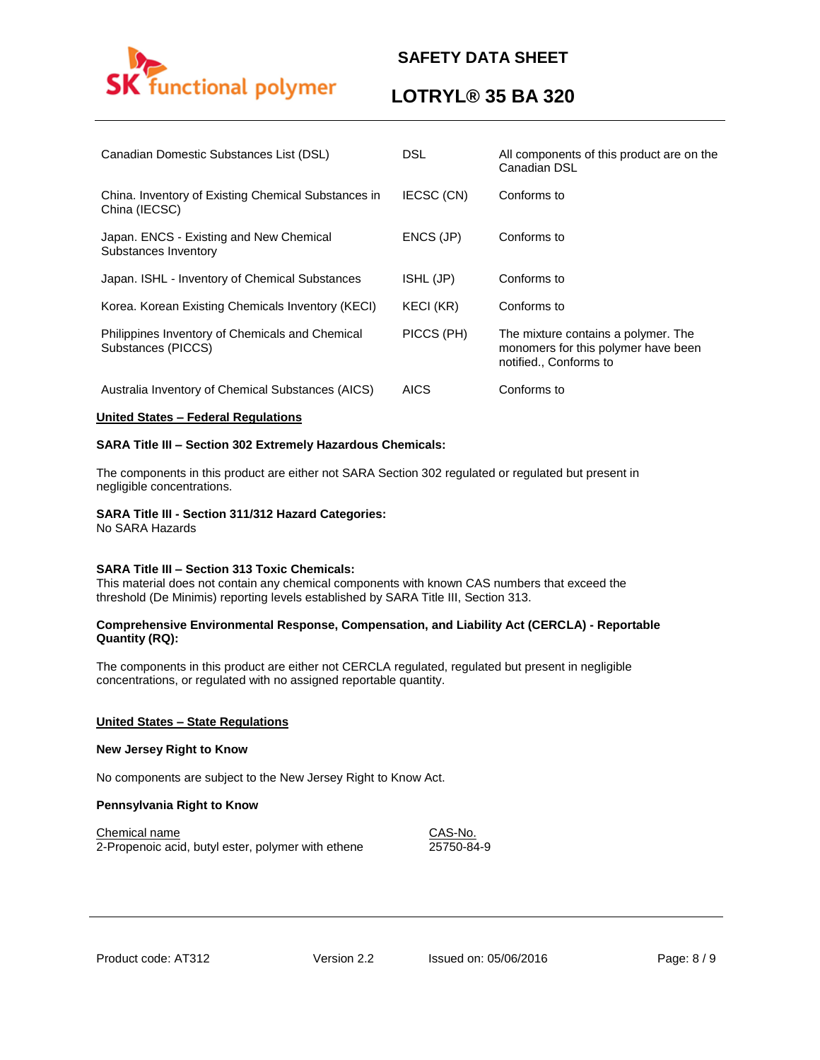

# **LOTRYL® 35 BA 320**

| Canadian Domestic Substances List (DSL)                               | <b>DSL</b>       | All components of this product are on the<br>Canadian DSL                                            |
|-----------------------------------------------------------------------|------------------|------------------------------------------------------------------------------------------------------|
| China. Inventory of Existing Chemical Substances in<br>China (IECSC)  | IECSC (CN)       | Conforms to                                                                                          |
| Japan. ENCS - Existing and New Chemical<br>Substances Inventory       | ENCS (JP)        | Conforms to                                                                                          |
| Japan. ISHL - Inventory of Chemical Substances                        | ISHL (JP)        | Conforms to                                                                                          |
| Korea. Korean Existing Chemicals Inventory (KECI)                     | <b>KECI (KR)</b> | Conforms to                                                                                          |
| Philippines Inventory of Chemicals and Chemical<br>Substances (PICCS) | PICCS (PH)       | The mixture contains a polymer. The<br>monomers for this polymer have been<br>notified., Conforms to |
| Australia Inventory of Chemical Substances (AICS)                     | <b>AICS</b>      | Conforms to                                                                                          |

### **United States – Federal Regulations**

### **SARA Title III – Section 302 Extremely Hazardous Chemicals:**

The components in this product are either not SARA Section 302 regulated or regulated but present in negligible concentrations.

# **SARA Title III - Section 311/312 Hazard Categories:**

No SARA Hazards

### **SARA Title III – Section 313 Toxic Chemicals:**

This material does not contain any chemical components with known CAS numbers that exceed the threshold (De Minimis) reporting levels established by SARA Title III, Section 313.

### **Comprehensive Environmental Response, Compensation, and Liability Act (CERCLA) - Reportable Quantity (RQ):**

The components in this product are either not CERCLA regulated, regulated but present in negligible concentrations, or regulated with no assigned reportable quantity.

### **United States – State Regulations**

### **New Jersey Right to Know**

No components are subject to the New Jersey Right to Know Act.

### **Pennsylvania Right to Know**

Chemical name CAS-No. 2-Propenoic acid, butyl ester, polymer with ethene 25750-84-9